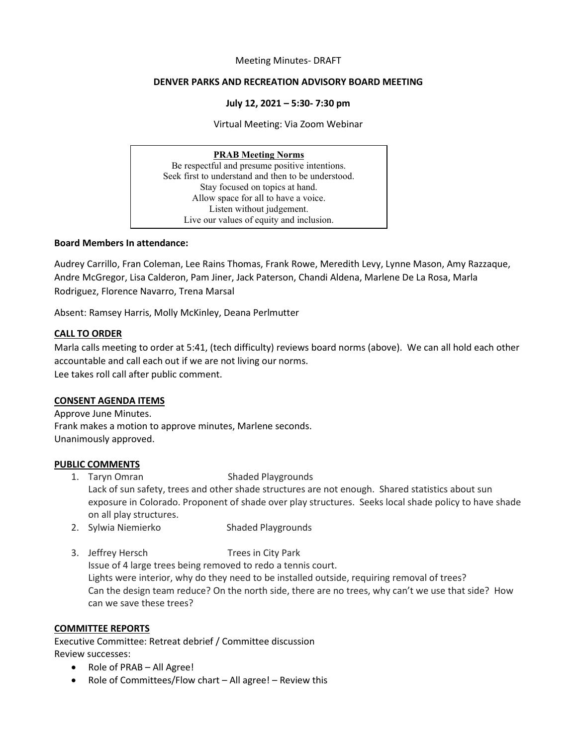#### Meeting Minutes- DRAFT

#### **DENVER PARKS AND RECREATION ADVISORY BOARD MEETING**

#### **July 12, 2021 – 5:30- 7:30 pm**

Virtual Meeting: Via Zoom Webinar

# **PRAB Meeting Norms**

Be respectful and presume positive intentions. Seek first to understand and then to be understood. Stay focused on topics at hand. Allow space for all to have a voice. Listen without judgement. Live our values of equity and inclusion.

#### **Board Members In attendance:**

Audrey Carrillo, Fran Coleman, Lee Rains Thomas, Frank Rowe, Meredith Levy, Lynne Mason, Amy Razzaque, Andre McGregor, Lisa Calderon, Pam Jiner, Jack Paterson, Chandi Aldena, Marlene De La Rosa, Marla Rodriguez, Florence Navarro, Trena Marsal

Absent: Ramsey Harris, Molly McKinley, Deana Perlmutter

## **CALL TO ORDER**

Marla calls meeting to order at 5:41, (tech difficulty) reviews board norms (above). We can all hold each other accountable and call each out if we are not living our norms. Lee takes roll call after public comment.

## **CONSENT AGENDA ITEMS**

Approve June Minutes. Frank makes a motion to approve minutes, Marlene seconds. Unanimously approved.

## **PUBLIC COMMENTS**

1. Taryn Omran Shaded Playgrounds Lack of sun safety, trees and other shade structures are not enough. Shared statistics about sun exposure in Colorado. Proponent of shade over play structures. Seeks local shade policy to have shade on all play structures.

- 2. Sylwia Niemierko Shaded Playgrounds
- 3. Jeffrey Hersch Trees in City Park Issue of 4 large trees being removed to redo a tennis court. Lights were interior, why do they need to be installed outside, requiring removal of trees? Can the design team reduce? On the north side, there are no trees, why can't we use that side? How can we save these trees?

## **COMMITTEE REPORTS**

Executive Committee: Retreat debrief / Committee discussion Review successes:

- Role of PRAB All Agree!
- Role of Committees/Flow chart All agree! Review this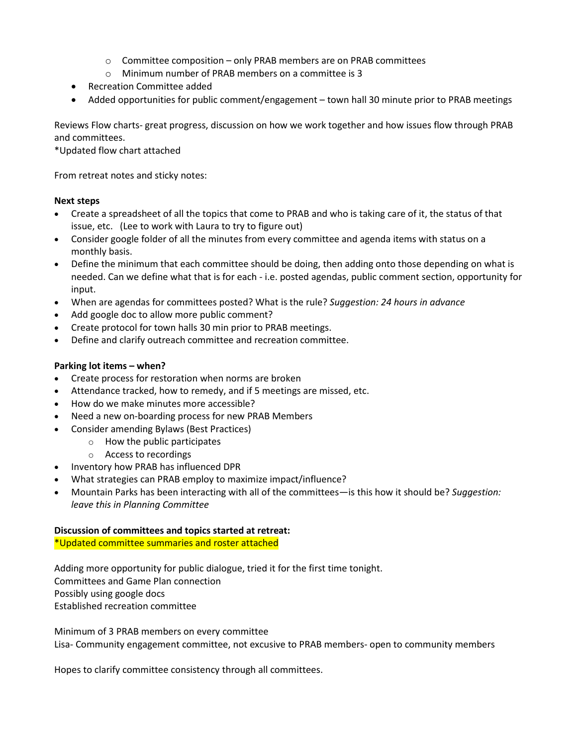- o Committee composition only PRAB members are on PRAB committees
- o Minimum number of PRAB members on a committee is 3
- Recreation Committee added
- Added opportunities for public comment/engagement town hall 30 minute prior to PRAB meetings

Reviews Flow charts- great progress, discussion on how we work together and how issues flow through PRAB and committees.

\*Updated flow chart attached

From retreat notes and sticky notes:

## **Next steps**

- Create a spreadsheet of all the topics that come to PRAB and who is taking care of it, the status of that issue, etc. (Lee to work with Laura to try to figure out)
- Consider google folder of all the minutes from every committee and agenda items with status on a monthly basis.
- Define the minimum that each committee should be doing, then adding onto those depending on what is needed. Can we define what that is for each - i.e. posted agendas, public comment section, opportunity for input.
- When are agendas for committees posted? What is the rule? *Suggestion: 24 hours in advance*
- Add google doc to allow more public comment?
- Create protocol for town halls 30 min prior to PRAB meetings.
- Define and clarify outreach committee and recreation committee.

## **Parking lot items – when?**

- Create process for restoration when norms are broken
- Attendance tracked, how to remedy, and if 5 meetings are missed, etc.
- How do we make minutes more accessible?
- Need a new on-boarding process for new PRAB Members
- Consider amending Bylaws (Best Practices)
	- o How the public participates
	- o Access to recordings
- Inventory how PRAB has influenced DPR
- What strategies can PRAB employ to maximize impact/influence?
- Mountain Parks has been interacting with all of the committees—is this how it should be? *Suggestion: leave this in Planning Committee*

## **Discussion of committees and topics started at retreat:**

\*Updated committee summaries and roster attached

Adding more opportunity for public dialogue, tried it for the first time tonight. Committees and Game Plan connection Possibly using google docs Established recreation committee

Minimum of 3 PRAB members on every committee Lisa- Community engagement committee, not excusive to PRAB members- open to community members

Hopes to clarify committee consistency through all committees.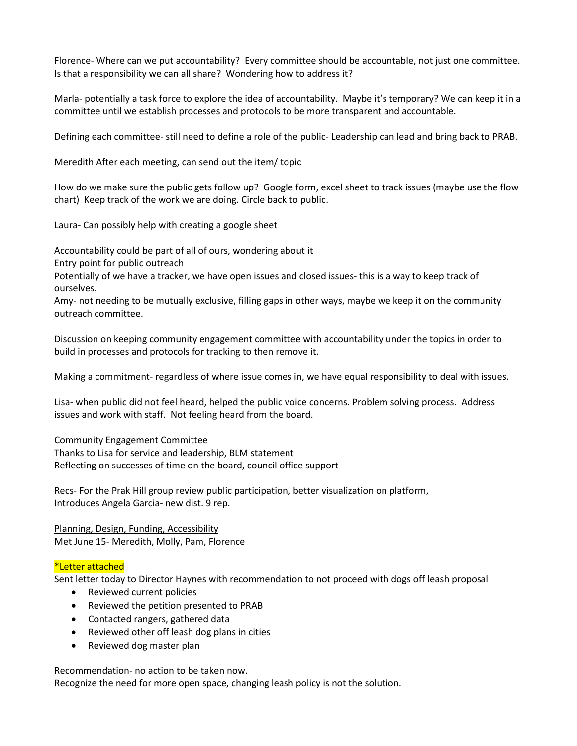Florence- Where can we put accountability? Every committee should be accountable, not just one committee. Is that a responsibility we can all share? Wondering how to address it?

Marla- potentially a task force to explore the idea of accountability. Maybe it's temporary? We can keep it in a committee until we establish processes and protocols to be more transparent and accountable.

Defining each committee- still need to define a role of the public- Leadership can lead and bring back to PRAB.

Meredith After each meeting, can send out the item/ topic

How do we make sure the public gets follow up? Google form, excel sheet to track issues (maybe use the flow chart) Keep track of the work we are doing. Circle back to public.

Laura- Can possibly help with creating a google sheet

Accountability could be part of all of ours, wondering about it

Entry point for public outreach

Potentially of we have a tracker, we have open issues and closed issues- this is a way to keep track of ourselves.

Amy- not needing to be mutually exclusive, filling gaps in other ways, maybe we keep it on the community outreach committee.

Discussion on keeping community engagement committee with accountability under the topics in order to build in processes and protocols for tracking to then remove it.

Making a commitment- regardless of where issue comes in, we have equal responsibility to deal with issues.

Lisa- when public did not feel heard, helped the public voice concerns. Problem solving process. Address issues and work with staff. Not feeling heard from the board.

## Community Engagement Committee

Thanks to Lisa for service and leadership, BLM statement Reflecting on successes of time on the board, council office support

Recs- For the Prak Hill group review public participation, better visualization on platform, Introduces Angela Garcia- new dist. 9 rep.

Planning, Design, Funding, Accessibility Met June 15- Meredith, Molly, Pam, Florence

## \*Letter attached

Sent letter today to Director Haynes with recommendation to not proceed with dogs off leash proposal

- Reviewed current policies
- Reviewed the petition presented to PRAB
- Contacted rangers, gathered data
- Reviewed other off leash dog plans in cities
- Reviewed dog master plan

Recommendation- no action to be taken now. Recognize the need for more open space, changing leash policy is not the solution.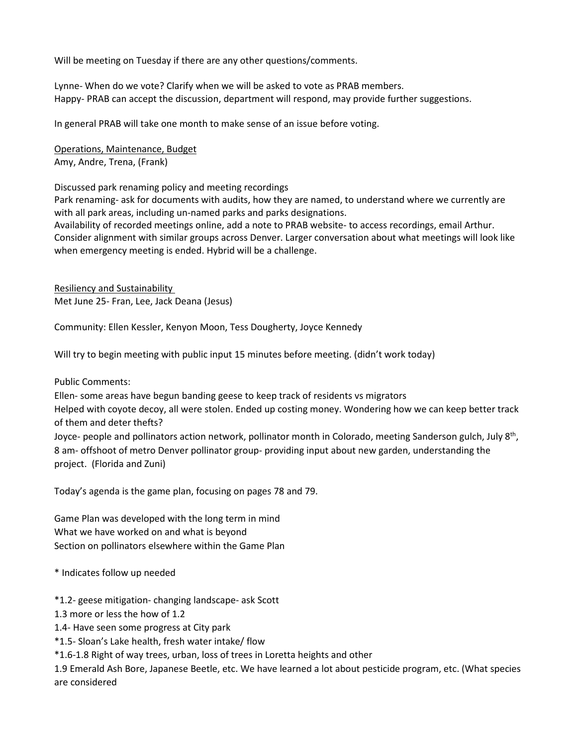Will be meeting on Tuesday if there are any other questions/comments.

Lynne- When do we vote? Clarify when we will be asked to vote as PRAB members. Happy- PRAB can accept the discussion, department will respond, may provide further suggestions.

In general PRAB will take one month to make sense of an issue before voting.

Operations, Maintenance, Budget Amy, Andre, Trena, (Frank)

Discussed park renaming policy and meeting recordings

Park renaming- ask for documents with audits, how they are named, to understand where we currently are with all park areas, including un-named parks and parks designations.

Availability of recorded meetings online, add a note to PRAB website- to access recordings, email Arthur. Consider alignment with similar groups across Denver. Larger conversation about what meetings will look like when emergency meeting is ended. Hybrid will be a challenge.

Resiliency and Sustainability Met June 25- Fran, Lee, Jack Deana (Jesus)

Community: Ellen Kessler, Kenyon Moon, Tess Dougherty, Joyce Kennedy

Will try to begin meeting with public input 15 minutes before meeting. (didn't work today)

Public Comments:

Ellen- some areas have begun banding geese to keep track of residents vs migrators Helped with coyote decoy, all were stolen. Ended up costing money. Wondering how we can keep better track of them and deter thefts?

Joyce- people and pollinators action network, pollinator month in Colorado, meeting Sanderson gulch, July 8<sup>th</sup>, 8 am- offshoot of metro Denver pollinator group- providing input about new garden, understanding the project. (Florida and Zuni)

Today's agenda is the game plan, focusing on pages 78 and 79.

Game Plan was developed with the long term in mind What we have worked on and what is beyond Section on pollinators elsewhere within the Game Plan

\* Indicates follow up needed

\*1.2- geese mitigation- changing landscape- ask Scott

1.3 more or less the how of 1.2

1.4- Have seen some progress at City park

\*1.5- Sloan's Lake health, fresh water intake/ flow

\*1.6-1.8 Right of way trees, urban, loss of trees in Loretta heights and other

1.9 Emerald Ash Bore, Japanese Beetle, etc. We have learned a lot about pesticide program, etc. (What species are considered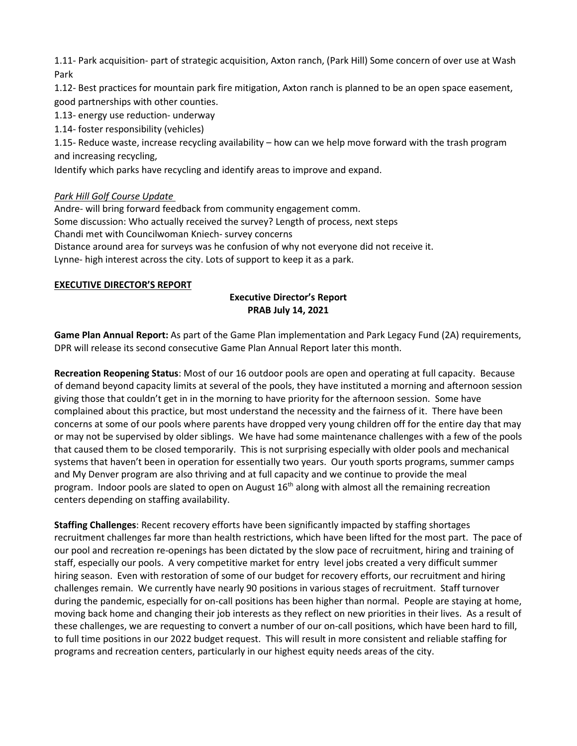1.11- Park acquisition- part of strategic acquisition, Axton ranch, (Park Hill) Some concern of over use at Wash Park

1.12- Best practices for mountain park fire mitigation, Axton ranch is planned to be an open space easement, good partnerships with other counties.

1.13- energy use reduction- underway

1.14- foster responsibility (vehicles)

1.15- Reduce waste, increase recycling availability – how can we help move forward with the trash program and increasing recycling,

Identify which parks have recycling and identify areas to improve and expand.

# *Park Hill Golf Course Update*

Andre- will bring forward feedback from community engagement comm. Some discussion: Who actually received the survey? Length of process, next steps Chandi met with Councilwoman Kniech- survey concerns Distance around area for surveys was he confusion of why not everyone did not receive it. Lynne- high interest across the city. Lots of support to keep it as a park.

## **EXECUTIVE DIRECTOR'S REPORT**

# **Executive Director's Report PRAB July 14, 2021**

**Game Plan Annual Report:** As part of the Game Plan implementation and Park Legacy Fund (2A) requirements, DPR will release its second consecutive Game Plan Annual Report later this month.

**Recreation Reopening Status**: Most of our 16 outdoor pools are open and operating at full capacity. Because of demand beyond capacity limits at several of the pools, they have instituted a morning and afternoon session giving those that couldn't get in in the morning to have priority for the afternoon session. Some have complained about this practice, but most understand the necessity and the fairness of it. There have been concerns at some of our pools where parents have dropped very young children off for the entire day that may or may not be supervised by older siblings. We have had some maintenance challenges with a few of the pools that caused them to be closed temporarily. This is not surprising especially with older pools and mechanical systems that haven't been in operation for essentially two years. Our youth sports programs, summer camps and My Denver program are also thriving and at full capacity and we continue to provide the meal program. Indoor pools are slated to open on August 16<sup>th</sup> along with almost all the remaining recreation centers depending on staffing availability.

**Staffing Challenges**: Recent recovery efforts have been significantly impacted by staffing shortages recruitment challenges far more than health restrictions, which have been lifted for the most part. The pace of our pool and recreation re-openings has been dictated by the slow pace of recruitment, hiring and training of staff, especially our pools. A very competitive market for entry level jobs created a very difficult summer hiring season. Even with restoration of some of our budget for recovery efforts, our recruitment and hiring challenges remain. We currently have nearly 90 positions in various stages of recruitment. Staff turnover during the pandemic, especially for on-call positions has been higher than normal. People are staying at home, moving back home and changing their job interests as they reflect on new priorities in their lives. As a result of these challenges, we are requesting to convert a number of our on-call positions, which have been hard to fill, to full time positions in our 2022 budget request. This will result in more consistent and reliable staffing for programs and recreation centers, particularly in our highest equity needs areas of the city.